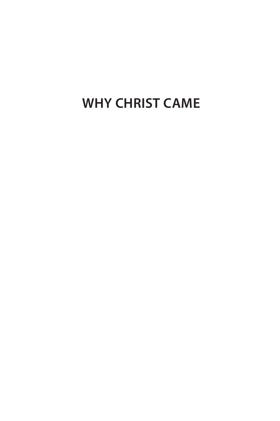## **Why Christ Came**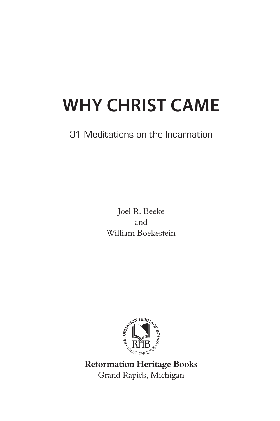## **Why Christ Came**

### 31 Meditations on the Incarnation

Joel R. Beeke and William Boekestein



Grand Rapids, Michigan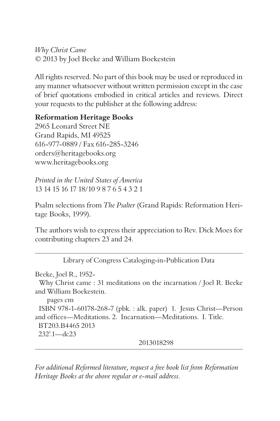*Why Christ Came* © 2013 by Joel Beeke and William Boekestein

All rights reserved. No part of this book may be used or reproduced in any manner whatsoever without written permission except in the case of brief quotations embodied in critical articles and reviews. Direct your requests to the publisher at the following address:

#### **Reformation Heritage Books**

2965 Leonard Street NE Grand Rapids, MI 49525 616-977-0889 / Fax 616-285-3246 orders@heritagebooks.org www.heritagebooks.org

*Printed in the United States of America* 13 14 15 16 17 18/10 9 8 7 6 5 4 3 2 1

Psalm selections from *The Psalter* (Grand Rapids: Reformation Heritage Books, 1999).

The authors wish to express their appreciation to Rev. Dick Moes for contributing chapters 23 and 24.

Library of Congress Cataloging-in-Publication Data

Beeke, Joel R., 1952-

 Why Christ came : 31 meditations on the incarnation / Joel R. Beeke and William Boekestein.

 pages cm ISBN 978-1-60178-268-7 (pbk. : alk. paper) 1. Jesus Christ—Person and offices—Meditations. 2. Incarnation—Meditations. I. Title. BT203.B4465 2013 232'.1—dc23 2013018298

*For additional Reformed literature, request a free book list from Reformation Heritage Books at the above regular or e-mail address.*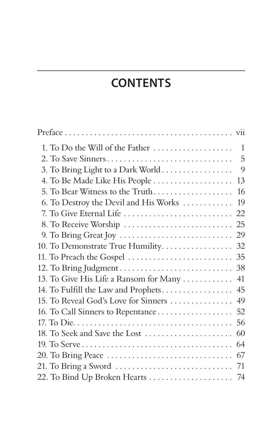## **Contents**

| 1. To Do the Will of the Father                                        | 1   |
|------------------------------------------------------------------------|-----|
| 2. To Save Sinners                                                     | 5   |
| 3. To Bring Light to a Dark World                                      | 9   |
| 4. To Be Made Like His People                                          | 13  |
| 5. To Bear Witness to the Truth                                        | 16  |
| 6. To Destroy the Devil and His Works                                  | 19  |
| 7. To Give Eternal Life                                                | 22  |
|                                                                        |     |
|                                                                        | 29  |
| 10. To Demonstrate True Humility.                                      | -32 |
| 11. To Preach the Gospel                                               | 35  |
|                                                                        | 38  |
| 13. To Give His Life a Ransom for Many                                 | 41  |
| 14. To Fulfill the Law and Prophets                                    | 45  |
| 15. To Reveal God's Love for Sinners                                   | 49  |
| 16. To Call Sinners to Repentance                                      | 52  |
|                                                                        | 56  |
| 18. To Seek and Save the Lost                                          | 60  |
|                                                                        | 64  |
| 20. To Bring Peace                                                     | 67  |
| 21. To Bring a Sword $\dots \dots \dots \dots \dots \dots \dots \dots$ | 71  |
| 22. To Bind Up Broken Hearts  74                                       |     |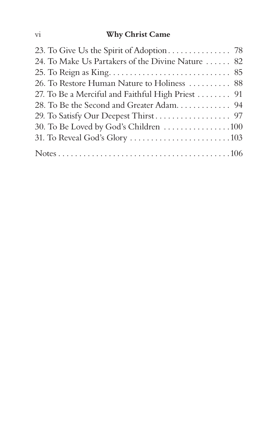#### vi **Why Christ Came**

| 24. To Make Us Partakers of the Divine Nature  82 |
|---------------------------------------------------|
|                                                   |
| 26. To Restore Human Nature to Holiness  88       |
| 27. To Be a Merciful and Faithful High Priest  91 |
| 28. To Be the Second and Greater Adam 94          |
|                                                   |
| 30. To Be Loved by God's Children 100             |
|                                                   |
|                                                   |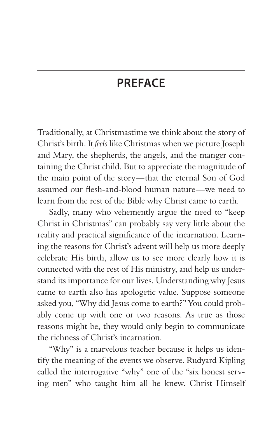## **PREFACE**

Traditionally, at Christmastime we think about the story of Christ's birth. It *feels* like Christmas when we picture Joseph and Mary, the shepherds, the angels, and the manger containing the Christ child. But to appreciate the magnitude of the main point of the story—that the eternal Son of God assumed our flesh-and-blood human nature—we need to learn from the rest of the Bible why Christ came to earth.

Sadly, many who vehemently argue the need to "keep Christ in Christmas" can probably say very little about the reality and practical significance of the incarnation. Learning the reasons for Christ's advent will help us more deeply celebrate His birth, allow us to see more clearly how it is connected with the rest of His ministry, and help us understand its importance for our lives. Understanding why Jesus came to earth also has apologetic value. Suppose someone asked you, "Why did Jesus come to earth?" You could probably come up with one or two reasons. As true as those reasons might be, they would only begin to communicate the richness of Christ's incarnation.

"Why" is a marvelous teacher because it helps us identify the meaning of the events we observe. Rudyard Kipling called the interrogative "why" one of the "six honest serving men" who taught him all he knew. Christ Himself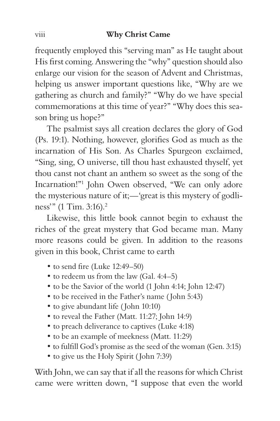#### viii **Why Christ Came**

frequently employed this "serving man" as He taught about His first coming. Answering the "why" question should also enlarge our vision for the season of Advent and Christmas, helping us answer important questions like, "Why are we gathering as church and family?" "Why do we have special commemorations at this time of year?" "Why does this season bring us hope?"

The psalmist says all creation declares the glory of God (Ps. 19:1). Nothing, however, glorifies God as much as the incarnation of His Son. As Charles Spurgeon exclaimed, "Sing, sing, O universe, till thou hast exhausted thyself, yet thou canst not chant an anthem so sweet as the song of the Incarnation!"1 John Owen observed, "We can only adore the mysterious nature of it;—'great is this mystery of godliness'" (1 Tim. 3:16).2

Likewise, this little book cannot begin to exhaust the riches of the great mystery that God became man. Many more reasons could be given. In addition to the reasons given in this book, Christ came to earth

- to send fire (Luke 12:49–50)
- to redeem us from the law (Gal. 4:4–5)
- to be the Savior of the world (1 John 4:14; John 12:47)
- to be received in the Father's name ( John 5:43)
- to give abundant life ( John 10:10)
- to reveal the Father (Matt. 11:27; John 14:9)
- to preach deliverance to captives (Luke 4:18)
- to be an example of meekness (Matt. 11:29)
- to fulfill God's promise as the seed of the woman (Gen. 3:15)
- to give us the Holy Spirit ( John 7:39)

With John, we can say that if all the reasons for which Christ came were written down, "I suppose that even the world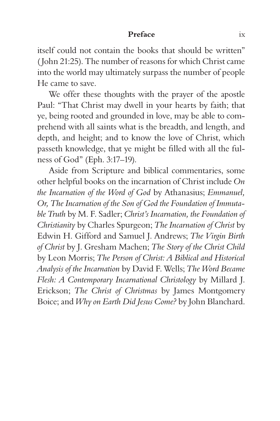#### **Preface** ix

itself could not contain the books that should be written" ( John 21:25). The number of reasons for which Christ came into the world may ultimately surpass the number of people He came to save.

We offer these thoughts with the prayer of the apostle Paul: "That Christ may dwell in your hearts by faith; that ye, being rooted and grounded in love, may be able to comprehend with all saints what is the breadth, and length, and depth, and height; and to know the love of Christ, which passeth knowledge, that ye might be filled with all the fulness of God" (Eph. 3:17–19).

Aside from Scripture and biblical commentaries, some other helpful books on the incarnation of Christ include *On the Incarnation of the Word of God* by Athanasius; *Emmanuel, Or, The Incarnation of the Son of God the Foundation of Immutable Truth* by M. F. Sadler; *Christ's Incarnation, the Foundation of Christianity* by Charles Spurgeon; *The Incarnation of Christ* by Edwin H. Gifford and Samuel J. Andrews; *The Virgin Birth of Christ* by J. Gresham Machen; *The Story of the Christ Child*  by Leon Morris; *The Person of Christ: A Biblical and Historical Analysis of the Incarnation* by David F. Wells; *The Word Became Flesh: A Contemporary Incarnational Christology* by Millard J. Erickson; *The Christ of Christmas* by James Montgomery Boice; and *Why on Earth Did Jesus Come?* by John Blanchard.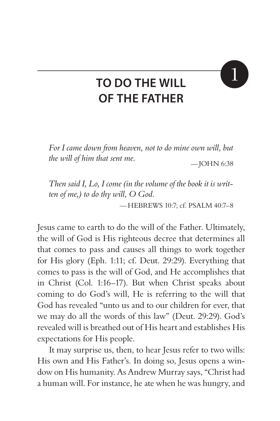# 1

## **To Do the Will of the Father**

*For I came down from heaven, not to do mine own will, but the will of him that sent me.*  $-$  JOHN 6:38

*Then said I, Lo, I come (in the volume of the book it is written of me,) to do thy will, O God. —*Hebrews 10:7; cf. Psalm 40:7–8

Jesus came to earth to do the will of the Father. Ultimately, the will of God is His righteous decree that determines all that comes to pass and causes all things to work together for His glory (Eph. 1:11; cf. Deut. 29:29). Everything that comes to pass is the will of God, and He accomplishes that in Christ (Col. 1:16–17). But when Christ speaks about coming to do God's will, He is referring to the will that God has revealed "unto us and to our children for ever, that we may do all the words of this law" (Deut. 29:29). God's revealed will is breathed out of His heart and establishes His expectations for His people.

It may surprise us, then, to hear Jesus refer to two wills: His own and His Father's. In doing so, Jesus opens a window on His humanity. As Andrew Murray says, "Christ had a human will. For instance, he ate when he was hungry, and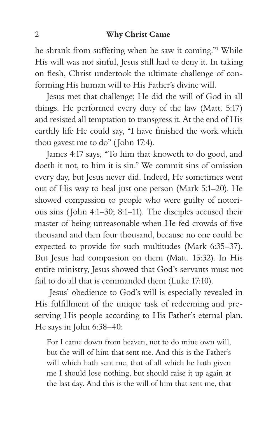#### 2 **Why Christ Came**

he shrank from suffering when he saw it coming."1 While His will was not sinful, Jesus still had to deny it. In taking on flesh, Christ undertook the ultimate challenge of conforming His human will to His Father's divine will.

Jesus met that challenge; He did the will of God in all things. He performed every duty of the law (Matt. 5:17) and resisted all temptation to transgress it. At the end of His earthly life He could say, "I have finished the work which thou gavest me to do" ( John 17:4).

James 4:17 says, "To him that knoweth to do good, and doeth it not, to him it is sin." We commit sins of omission every day, but Jesus never did. Indeed, He sometimes went out of His way to heal just one person (Mark 5:1–20). He showed compassion to people who were guilty of notorious sins ( John 4:1–30; 8:1–11). The disciples accused their master of being unreasonable when He fed crowds of five thousand and then four thousand, because no one could be expected to provide for such multitudes (Mark 6:35–37). But Jesus had compassion on them (Matt. 15:32). In His entire ministry, Jesus showed that God's servants must not fail to do all that is commanded them (Luke 17:10).

 Jesus' obedience to God's will is especially revealed in His fulfillment of the unique task of redeeming and preserving His people according to His Father's eternal plan. He says in John 6:38–40:

For I came down from heaven, not to do mine own will, but the will of him that sent me. And this is the Father's will which hath sent me, that of all which he hath given me I should lose nothing, but should raise it up again at the last day. And this is the will of him that sent me, that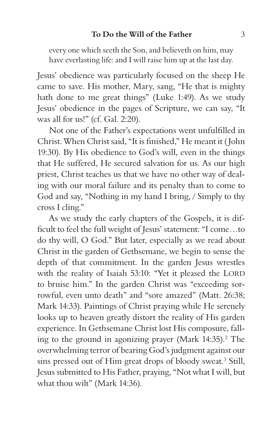every one which seeth the Son, and believeth on him, may have everlasting life: and I will raise him up at the last day.

Jesus' obedience was particularly focused on the sheep He came to save. His mother, Mary, sang, "He that is mighty hath done to me great things" (Luke 1:49). As we study Jesus' obedience in the pages of Scripture, we can say, "It was all for us!" (cf. Gal. 2:20).

Not one of the Father's expectations went unfulfilled in Christ. When Christ said, "It is finished," He meant it ( John 19:30). By His obedience to God's will, even in the things that He suffered, He secured salvation for us. As our high priest, Christ teaches us that we have no other way of dealing with our moral failure and its penalty than to come to God and say, "Nothing in my hand I bring, / Simply to thy cross I cling."

As we study the early chapters of the Gospels, it is difficult to feel the full weight of Jesus' statement: "I come…to do thy will, O God." But later, especially as we read about Christ in the garden of Gethsemane, we begin to sense the depth of that commitment. In the garden Jesus wrestles with the reality of Isaiah 53:10: "Yet it pleased the LORD to bruise him." In the garden Christ was "exceeding sorrowful, even unto death" and "sore amazed" (Matt. 26:38; Mark 14:33). Paintings of Christ praying while He serenely looks up to heaven greatly distort the reality of His garden experience. In Gethsemane Christ lost His composure, falling to the ground in agonizing prayer (Mark  $14:35$ ).<sup>2</sup> The overwhelming terror of bearing God's judgment against our sins pressed out of Him great drops of bloody sweat.<sup>3</sup> Still, Jesus submitted to His Father, praying, "Not what I will, but what thou wilt" (Mark 14:36).